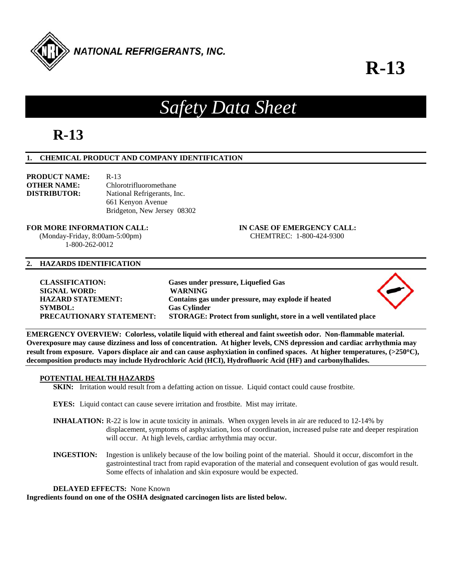

**R-13**

▴

# *Safety Data Sheet*

## **R-13**

#### **1. CHEMICAL PRODUCT AND COMPANY IDENTIFICATION**

| PRODUCT NAME:       | $R-13$                      |  |
|---------------------|-----------------------------|--|
| <b>OTHER NAME:</b>  | Chlorotrifluoromethane      |  |
| <b>DISTRIBUTOR:</b> | National Refrigerants, Inc. |  |
|                     | 661 Kenyon Avenue           |  |
|                     | Bridgeton, New Jersey 08302 |  |

#### **FOR MORE INFORMATION CALL: IN CASE OF EMERGENCY CALL:**

1-800-262-0012

### (Monday-Friday, 8:00am-5:00pm) CHEMTREC: 1-800-424-9300

#### **2. HAZARDS IDENTIFICATION**

| <b>CLASSIFICATION:</b>          | Gases under pressure, Liquefied Gas                              |                   |
|---------------------------------|------------------------------------------------------------------|-------------------|
| <b>SIGNAL WORD:</b>             | <b>WARNING</b>                                                   | $\langle \rangle$ |
| <b>HAZARD STATEMENT:</b>        | Contains gas under pressure, may explode if heated               |                   |
| <b>SYMBOL:</b>                  | <b>Gas Cylinder</b>                                              |                   |
| <b>PRECAUTIONARY STATEMENT:</b> | STORAGE: Protect from sunlight, store in a well ventilated place |                   |
|                                 |                                                                  |                   |

**EMERGENCY OVERVIEW: Colorless, volatile liquid with ethereal and faint sweetish odor. Non-flammable material. Overexposure may cause dizziness and loss of concentration. At higher levels, CNS depression and cardiac arrhythmia may result from exposure. Vapors displace air and can cause asphyxiation in confined spaces. At higher temperatures, (>250C), decomposition products may include Hydrochloric Acid (HCI), Hydrofluoric Acid (HF) and carbonylhalides.** 

#### **POTENTIAL HEALTH HAZARDS**

**SKIN:** Irritation would result from a defatting action on tissue. Liquid contact could cause frostbite.

- **EYES:** Liquid contact can cause severe irritation and frostbite. Mist may irritate.
- **INHALATION:** R-22 is low in acute toxicity in animals. When oxygen levels in air are reduced to 12-14% by displacement, symptoms of asphyxiation, loss of coordination, increased pulse rate and deeper respiration will occur. At high levels, cardiac arrhythmia may occur.
- **INGESTION:** Ingestion is unlikely because of the low boiling point of the material. Should it occur, discomfort in the gastrointestinal tract from rapid evaporation of the material and consequent evolution of gas would result. Some effects of inhalation and skin exposure would be expected.

**DELAYED EFFECTS:** None Known

**Ingredients found on one of the OSHA designated carcinogen lists are listed below.**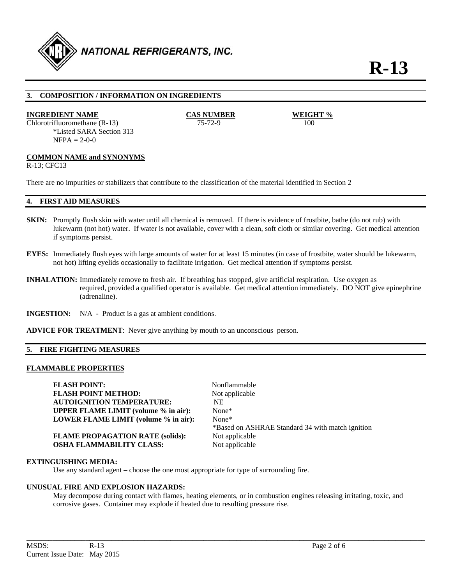

#### **3. COMPOSITION / INFORMATION ON INGREDIENTS**

#### **INGREDIENT NAME CAS NUMBER WEIGHT %**

Chlorotrifluoromethane (R-13) 75-72-9 100 \*Listed SARA Section 313  $NFPA = 2-0-0$ 

#### **COMMON NAME and SYNONYMS**

R-13; CFC13

There are no impurities or stabilizers that contribute to the classification of the material identified in Section 2

#### **4. FIRST AID MEASURES**

- **SKIN:** Promptly flush skin with water until all chemical is removed. If there is evidence of frostbite, bathe (do not rub) with lukewarm (not hot) water. If water is not available, cover with a clean, soft cloth or similar covering. Get medical attention if symptoms persist.
- **EYES:** Immediately flush eyes with large amounts of water for at least 15 minutes (in case of frostbite, water should be lukewarm, not hot) lifting eyelids occasionally to facilitate irrigation. Get medical attention if symptoms persist.
- **INHALATION:** Immediately remove to fresh air. If breathing has stopped, give artificial respiration. Use oxygen as required, provided a qualified operator is available. Get medical attention immediately. DO NOT give epinephrine (adrenaline).
- **INGESTION:** N/A Product is a gas at ambient conditions.
- **ADVICE FOR TREATMENT**: Never give anything by mouth to an unconscious person.

#### **5. FIRE FIGHTING MEASURES**

#### **FLAMMABLE PROPERTIES**

**FLASH POINT:** Nonflammable **FLASH POINT METHOD:** Not applicable **AUTOIGNITION TEMPERATURE:** NE **UPPER FLAME LIMIT (volume % in air):** None\* **LOWER FLAME LIMIT (volume % in air):** None\*

**FLAME PROPAGATION RATE (solids):** Not applicable **OSHA FLAMMABILITY CLASS:** Not applicable

\*Based on ASHRAE Standard 34 with match ignition

#### **EXTINGUISHING MEDIA:**

Use any standard agent – choose the one most appropriate for type of surrounding fire.

#### **UNUSUAL FIRE AND EXPLOSION HAZARDS:**

 May decompose during contact with flames, heating elements, or in combustion engines releasing irritating, toxic, and corrosive gases. Container may explode if heated due to resulting pressure rise.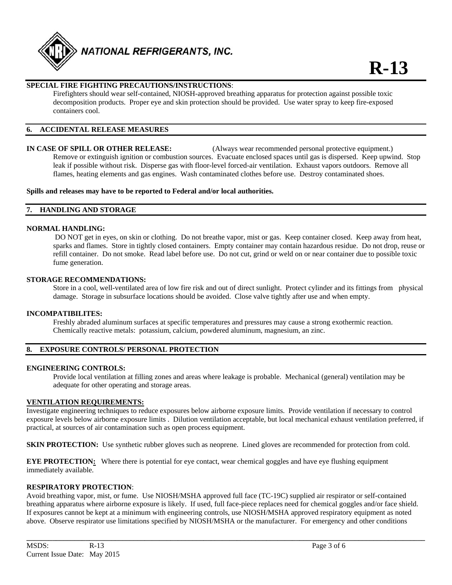

#### **SPECIAL FIRE FIGHTING PRECAUTIONS/INSTRUCTIONS**:

 Firefighters should wear self-contained, NIOSH-approved breathing apparatus for protection against possible toxic decomposition products. Proper eye and skin protection should be provided. Use water spray to keep fire-exposed containers cool.

#### **6. ACCIDENTAL RELEASE MEASURES**

**IN CASE OF SPILL OR OTHER RELEASE:** (Always wear recommended personal protective equipment.) Remove or extinguish ignition or combustion sources. Evacuate enclosed spaces until gas is dispersed. Keep upwind. Stop leak if possible without risk. Disperse gas with floor-level forced-air ventilation. Exhaust vapors outdoors. Remove all flames, heating elements and gas engines. Wash contaminated clothes before use. Destroy contaminated shoes.

#### **Spills and releases may have to be reported to Federal and/or local authorities.**

#### **7. HANDLING AND STORAGE**

#### **NORMAL HANDLING:**

 DO NOT get in eyes, on skin or clothing. Do not breathe vapor, mist or gas. Keep container closed. Keep away from heat, sparks and flames. Store in tightly closed containers. Empty container may contain hazardous residue. Do not drop, reuse or refill container. Do not smoke. Read label before use. Do not cut, grind or weld on or near container due to possible toxic fume generation.

#### **STORAGE RECOMMENDATIONS:**

Store in a cool, well-ventilated area of low fire risk and out of direct sunlight. Protect cylinder and its fittings from physical damage. Storage in subsurface locations should be avoided. Close valve tightly after use and when empty.

#### **INCOMPATIBILITES:**

Freshly abraded aluminum surfaces at specific temperatures and pressures may cause a strong exothermic reaction. Chemically reactive metals: potassium, calcium, powdered aluminum, magnesium, an zinc.

#### **8. EXPOSURE CONTROLS/ PERSONAL PROTECTION**

#### **ENGINEERING CONTROLS:**

Provide local ventilation at filling zones and areas where leakage is probable. Mechanical (general) ventilation may be adequate for other operating and storage areas.

#### **VENTILATION REQUIREMENTS:**

Investigate engineering techniques to reduce exposures below airborne exposure limits. Provide ventilation if necessary to control exposure levels below airborne exposure limits . Dilution ventilation acceptable, but local mechanical exhaust ventilation preferred, if practical, at sources of air contamination such as open process equipment.

**SKIN PROTECTION:** Use synthetic rubber gloves such as neoprene. Lined gloves are recommended for protection from cold.

**EYE PROTECTION:** Where there is potential for eye contact, wear chemical goggles and have eye flushing equipment immediately available.

#### **RESPIRATORY PROTECTION**:

Avoid breathing vapor, mist, or fume. Use NIOSH/MSHA approved full face (TC-19C) supplied air respirator or self-contained breathing apparatus where airborne exposure is likely. If used, full face-piece replaces need for chemical goggles and/or face shield. If exposures cannot be kept at a minimum with engineering controls, use NIOSH/MSHA approved respiratory equipment as noted above. Observe respirator use limitations specified by NIOSH/MSHA or the manufacturer. For emergency and other conditions

**\_\_\_\_\_\_\_\_\_\_\_\_\_\_\_\_\_\_\_\_\_\_\_\_\_\_\_\_\_\_\_\_\_\_\_\_\_\_\_\_\_\_\_\_\_\_\_\_\_\_\_\_\_\_\_\_\_\_\_\_\_\_\_\_\_\_\_\_\_\_\_\_\_\_\_\_\_\_\_\_\_\_\_\_\_\_\_\_\_\_\_\_\_\_\_\_\_\_\_\_\_\_\_\_\_\_\_\_**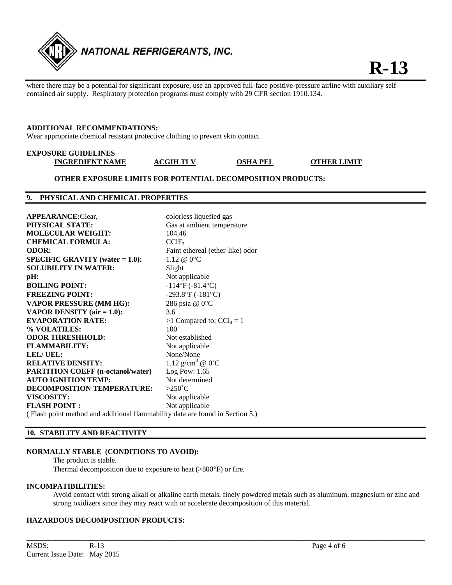

where there may be a potential for significant exposure, use an approved full-face positive-pressure airline with auxiliary selfcontained air supply. Respiratory protection programs must comply with 29 CFR section 1910.134.

#### **ADDITIONAL RECOMMENDATIONS:**

Wear appropriate chemical resistant protective clothing to prevent skin contact.

## **EXPOSURE GUIDELINES**

**INGREDIENT NAME ACGIH TLV OSHA PEL OTHER LIMIT** 

#### **OTHER EXPOSURE LIMITS FOR POTENTIAL DECOMPOSITION PRODUCTS:**

#### **9. PHYSICAL AND CHEMICAL PROPERTIES**

| <b>APPEARANCE:</b> Clear,                                                              | colorless liquefied gas                |  |
|----------------------------------------------------------------------------------------|----------------------------------------|--|
| <b>PHYSICAL STATE:</b>                                                                 | Gas at ambient temperature             |  |
| <b>MOLECULAR WEIGHT:</b>                                                               | 104.46                                 |  |
| <b>CHEMICAL FORMULA:</b>                                                               | $CCIF_3$                               |  |
| <b>ODOR:</b>                                                                           | Faint ethereal (ether-like) odor       |  |
| <b>SPECIFIC GRAVITY</b> (water $= 1.0$ ):                                              | $1.12 \ @ 0^{\circ}C$                  |  |
| <b>SOLUBILITY IN WATER:</b>                                                            | Slight                                 |  |
| pH:                                                                                    | Not applicable                         |  |
| <b>BOILING POINT:</b>                                                                  | $-114^{\circ}F(-81.4^{\circ}C)$        |  |
| <b>FREEZING POINT:</b>                                                                 | -293.8°F (-181°C)                      |  |
| <b>VAPOR PRESSURE (MM HG):</b>                                                         | 286 psia @ 0°C                         |  |
| <b>VAPOR DENSITY</b> (air $= 1.0$ ):                                                   | 3.6                                    |  |
| <b>EVAPORATION RATE:</b>                                                               | $>1$ Compared to: $\text{CCl}_4 = 1$   |  |
| % VOLATILES:                                                                           | 100                                    |  |
| <b>ODOR THRESHHOLD:</b>                                                                | Not established                        |  |
| <b>FLAMMABILITY:</b>                                                                   | Not applicable                         |  |
| <b>LEL/UEL:</b>                                                                        | None/None                              |  |
| <b>RELATIVE DENSITY:</b>                                                               | 1.12 g/cm <sup>3</sup> @ $0^{\circ}$ C |  |
| <b>PARTITION COEFF (n-octanol/water)</b>                                               | Log Pow: $1.65$                        |  |
| <b>AUTO IGNITION TEMP:</b>                                                             | Not determined                         |  |
| <b>DECOMPOSITION TEMPERATURE:</b>                                                      | $>250^{\circ}$ C                       |  |
| VISCOSITY:                                                                             | Not applicable                         |  |
| <b>FLASH POINT:</b>                                                                    | Not applicable                         |  |
| $(E[1.00]$ (Electronic method and additional flammability data are found in Section 5) |                                        |  |

( Flash point method and additional flammability data are found in Section 5.)

#### **10. STABILITY AND REACTIVITY**

#### **NORMALLY STABLE (CONDITIONS TO AVOID):**

The product is stable.

Thermal decomposition due to exposure to heat (>800°F) or fire.

#### **INCOMPATIBILITIES:**

 Avoid contact with strong alkali or alkaline earth metals, finely powdered metals such as aluminum, magnesium or zinc and strong oxidizers since they may react with or accelerate decomposition of this material.

**\_\_\_\_\_\_\_\_\_\_\_\_\_\_\_\_\_\_\_\_\_\_\_\_\_\_\_\_\_\_\_\_\_\_\_\_\_\_\_\_\_\_\_\_\_\_\_\_\_\_\_\_\_\_\_\_\_\_\_\_\_\_\_\_\_\_\_\_\_\_\_\_\_\_\_\_\_\_\_\_\_\_\_\_\_\_\_\_\_\_\_\_\_\_\_\_\_\_\_\_\_\_\_\_\_\_\_\_** 

#### **HAZARDOUS DECOMPOSITION PRODUCTS:**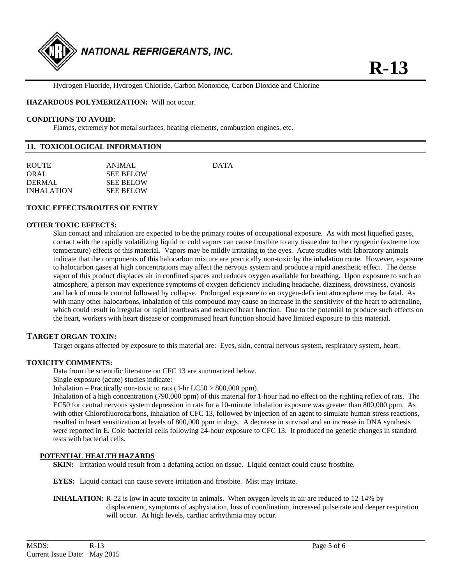

Hydrogen Fluoride, Hydrogen Chloride, Carbon Monoxide, Carbon Dioxide and Chlorine

**HAZARDOUS POLYMERIZATION:** Will not occur.

#### **CONDITIONS TO AVOID:**

Flames, extremely hot metal surfaces, heating elements, combustion engines, etc.

#### **11. TOXICOLOGICAL INFORMATION**

| <b>ROUTE</b>      | ANIMAL.          | <b>DATA</b> |
|-------------------|------------------|-------------|
| ORAL              | <b>SEE BELOW</b> |             |
| DERMAL.           | <b>SEE BELOW</b> |             |
| <b>INHALATION</b> | <b>SEE BELOW</b> |             |
|                   |                  |             |

#### **TOXIC EFFECTS/ROUTES OF ENTRY**

#### **OTHER TOXIC EFFECTS:**

Skin contact and inhalation are expected to be the primary routes of occupational exposure. As with most liquefied gases, contact with the rapidly volatilizing liquid or cold vapors can cause frostbite to any tissue due to the cryogenic (extreme low temperature) effects of this material. Vapors may be mildly irritating to the eyes. Acute studies with laboratory animals indicate that the components of this halocarbon mixture are practically non-toxic by the inhalation route. However, exposure to halocarbon gases at high concentrations may affect the nervous system and produce a rapid anesthetic effect. The dense vapor of this product displaces air in confined spaces and reduces oxygen available for breathing. Upon exposure to such an atmosphere, a person may experience symptoms of oxygen deficiency including headache, dizziness, drowsiness, cyanosis and lack of muscle control followed by collapse. Prolonged exposure to an oxygen-deficient atmosphere may be fatal. As with many other halocarbons, inhalation of this compound may cause an increase in the sensitivity of the heart to adrenaline, which could result in irregular or rapid heartbeats and reduced heart function. Due to the potential to produce such effects on the heart, workers with heart disease or compromised heart function should have limited exposure to this material.

#### **TARGET ORGAN TOXIN:**

Target organs affected by exposure to this material are: Eyes, skin, central nervous system, respiratory system, heart.

#### **TOXICITY COMMENTS:**

Data from the scientific literature on CFC 13 are summarized below.

Single exposure (acute) studies indicate:

Inhalation – Practically non-toxic to rats  $(4-hr LC50 > 800,000$  ppm).

 Inhalation of a high concentration (790,000 ppm) of this material for 1-hour had no effect on the righting reflex of rats. The EC50 for central nervous system depression in rats for a 10-minute inhalation exposure was greater than 800,000 ppm. As with other Chlorofluorocarbons, inhalation of CFC 13, followed by injection of an agent to simulate human stress reactions, resulted in heart sensitization at levels of 800,000 ppm in dogs. A decrease in survival and an increase in DNA synthesis were reported in E. Cole bacterial cells following 24-hour exposure to CFC 13. It produced no genetic changes in standard tests with bacterial cells.

#### **POTENTIAL HEALTH HAZARDS**

**SKIN:** Irritation would result from a defatting action on tissue. Liquid contact could cause frostbite.

**EYES:** Liquid contact can cause severe irritation and frostbite. Mist may irritate.

**INHALATION:** R-22 is low in acute toxicity in animals. When oxygen levels in air are reduced to 12-14% by displacement, symptoms of asphyxiation, loss of coordination, increased pulse rate and deeper respiration will occur. At high levels, cardiac arrhythmia may occur.